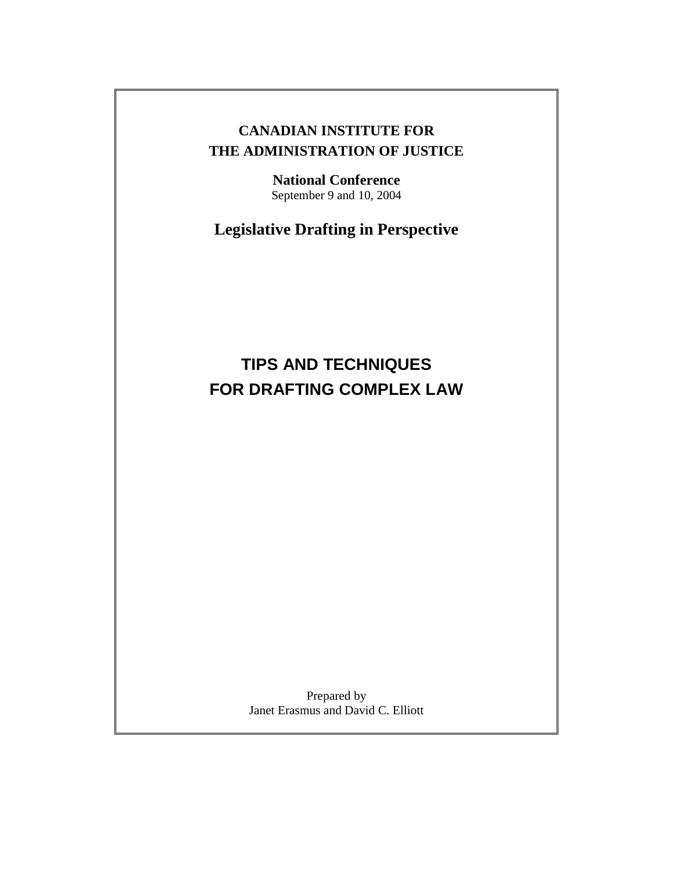# **CANADIAN INSTITUTE FOR THE ADMINISTRATION OF JUSTICE**

**National Conference**  September 9 and 10, 2004

**Legislative Drafting in Perspective** 

# **TIPS AND TECHNIQUES FOR DRAFTING COMPLEX LAW**

Prepared by Janet Erasmus and David C. Elliott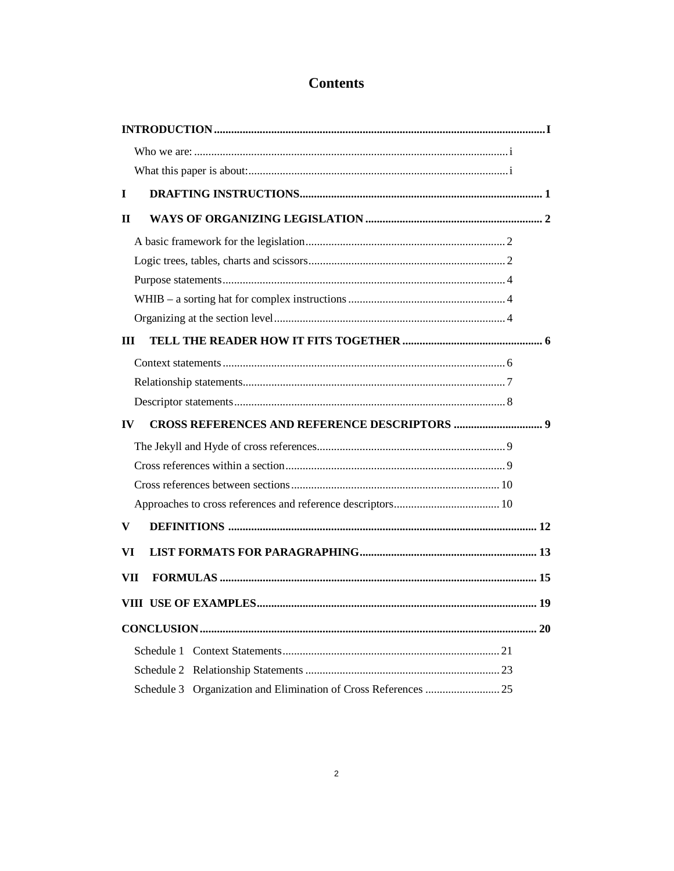# **Contents**

| $\mathbf I$  |  |
|--------------|--|
| $\mathbf{H}$ |  |
|              |  |
|              |  |
|              |  |
|              |  |
|              |  |
| III          |  |
|              |  |
|              |  |
|              |  |
| $\bf{IV}$    |  |
|              |  |
|              |  |
|              |  |
|              |  |
| V            |  |
| VI           |  |
| VII          |  |
|              |  |
|              |  |
|              |  |
|              |  |
|              |  |
|              |  |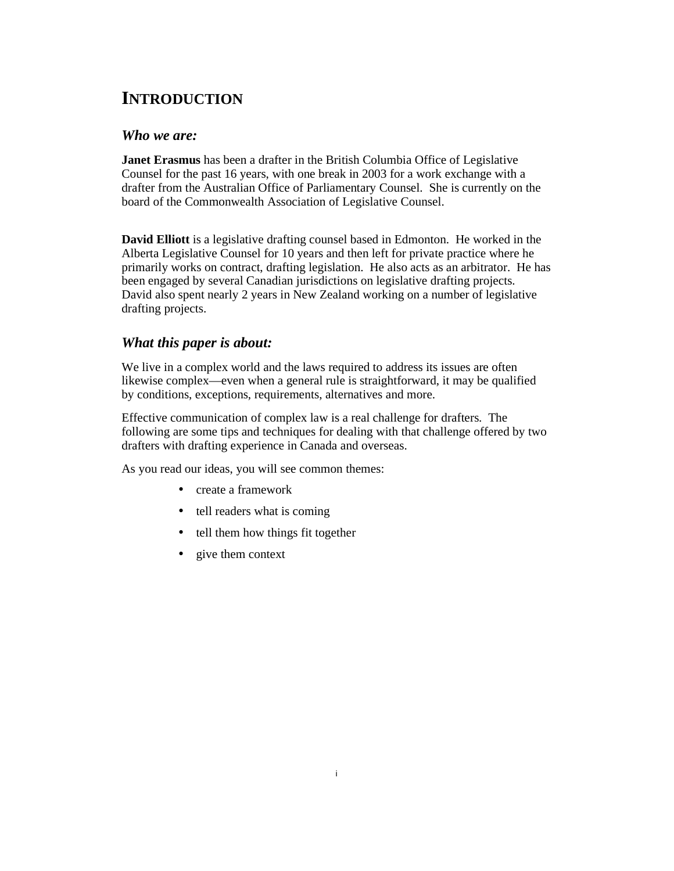# **INTRODUCTION**

# *Who we are:*

**Janet Erasmus** has been a drafter in the British Columbia Office of Legislative Counsel for the past 16 years, with one break in 2003 for a work exchange with a drafter from the Australian Office of Parliamentary Counsel. She is currently on the board of the Commonwealth Association of Legislative Counsel.

**David Elliott** is a legislative drafting counsel based in Edmonton. He worked in the Alberta Legislative Counsel for 10 years and then left for private practice where he primarily works on contract, drafting legislation. He also acts as an arbitrator. He has been engaged by several Canadian jurisdictions on legislative drafting projects. David also spent nearly 2 years in New Zealand working on a number of legislative drafting projects.

# *What this paper is about:*

We live in a complex world and the laws required to address its issues are often likewise complex—even when a general rule is straightforward, it may be qualified by conditions, exceptions, requirements, alternatives and more.

Effective communication of complex law is a real challenge for drafters. The following are some tips and techniques for dealing with that challenge offered by two drafters with drafting experience in Canada and overseas.

As you read our ideas, you will see common themes:

- create a framework
- tell readers what is coming
- tell them how things fit together
- give them context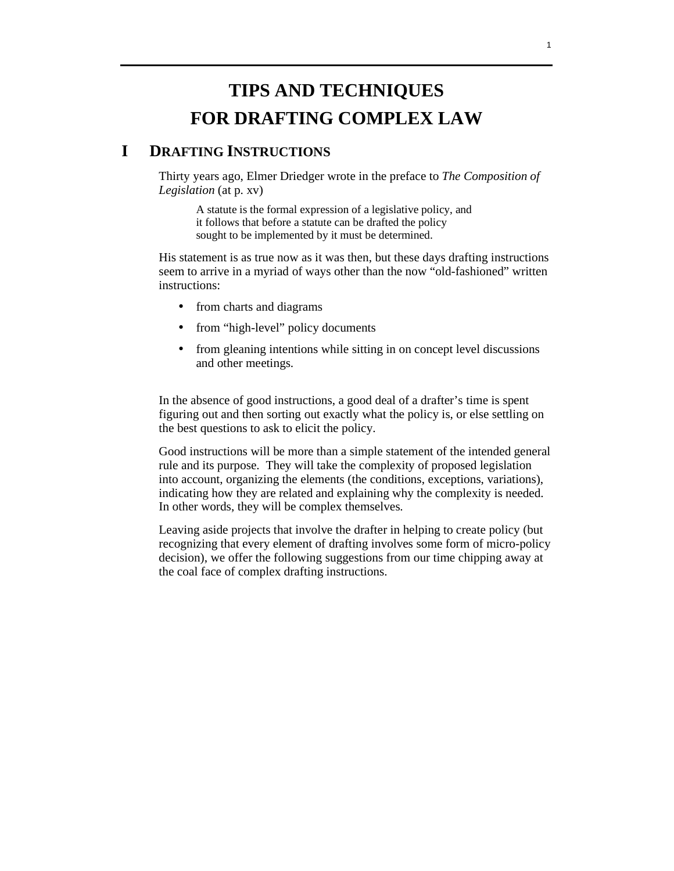# **TIPS AND TECHNIQUES FOR DRAFTING COMPLEX LAW**

# **I DRAFTING INSTRUCTIONS**

 Thirty years ago, Elmer Driedger wrote in the preface to *The Composition of Legislation* (at p. xv)

A statute is the formal expression of a legislative policy, and it follows that before a statute can be drafted the policy sought to be implemented by it must be determined.

 His statement is as true now as it was then, but these days drafting instructions seem to arrive in a myriad of ways other than the now "old-fashioned" written instructions:

- from charts and diagrams
- from "high-level" policy documents
- from gleaning intentions while sitting in on concept level discussions and other meetings.

 In the absence of good instructions, a good deal of a drafter's time is spent figuring out and then sorting out exactly what the policy is, or else settling on the best questions to ask to elicit the policy.

 Good instructions will be more than a simple statement of the intended general rule and its purpose. They will take the complexity of proposed legislation into account, organizing the elements (the conditions, exceptions, variations), indicating how they are related and explaining why the complexity is needed. In other words, they will be complex themselves.

 Leaving aside projects that involve the drafter in helping to create policy (but recognizing that every element of drafting involves some form of micro-policy decision), we offer the following suggestions from our time chipping away at the coal face of complex drafting instructions.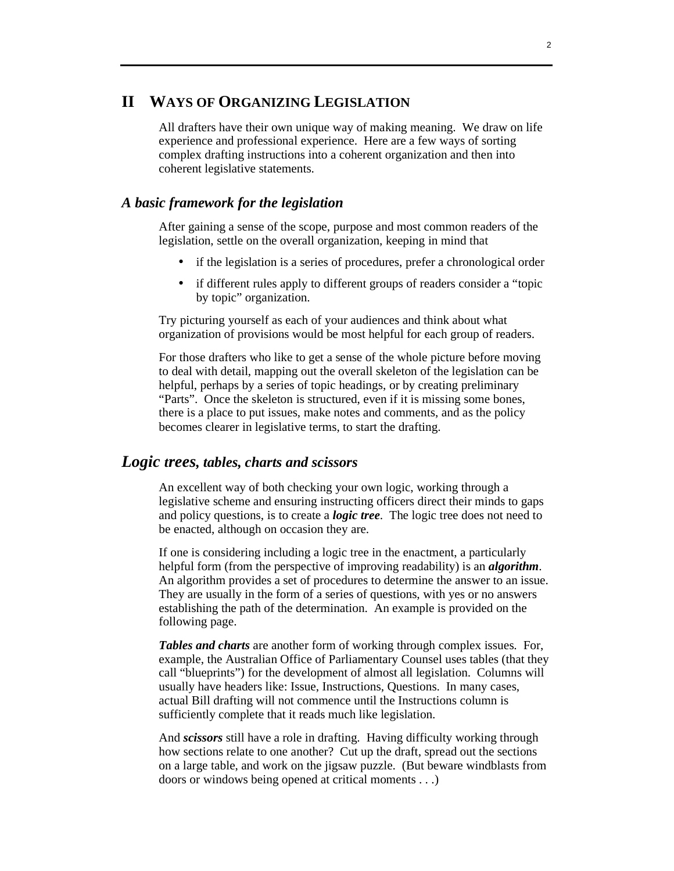# **II WAYS OF ORGANIZING LEGISLATION**

 All drafters have their own unique way of making meaning. We draw on life experience and professional experience. Here are a few ways of sorting complex drafting instructions into a coherent organization and then into coherent legislative statements.

# *A basic framework for the legislation*

 After gaining a sense of the scope, purpose and most common readers of the legislation, settle on the overall organization, keeping in mind that

- if the legislation is a series of procedures, prefer a chronological order
- if different rules apply to different groups of readers consider a "topic by topic" organization.

 Try picturing yourself as each of your audiences and think about what organization of provisions would be most helpful for each group of readers.

 For those drafters who like to get a sense of the whole picture before moving to deal with detail, mapping out the overall skeleton of the legislation can be helpful, perhaps by a series of topic headings, or by creating preliminary "Parts". Once the skeleton is structured, even if it is missing some bones, there is a place to put issues, make notes and comments, and as the policy becomes clearer in legislative terms, to start the drafting.

# *Logic trees, tables, charts and scissors*

 An excellent way of both checking your own logic, working through a legislative scheme and ensuring instructing officers direct their minds to gaps and policy questions, is to create a *logic tree*. The logic tree does not need to be enacted, although on occasion they are.

 If one is considering including a logic tree in the enactment, a particularly helpful form (from the perspective of improving readability) is an *algorithm*. An algorithm provides a set of procedures to determine the answer to an issue. They are usually in the form of a series of questions, with yes or no answers establishing the path of the determination. An example is provided on the following page.

*Tables and charts* are another form of working through complex issues. For, example, the Australian Office of Parliamentary Counsel uses tables (that they call "blueprints") for the development of almost all legislation. Columns will usually have headers like: Issue, Instructions, Questions. In many cases, actual Bill drafting will not commence until the Instructions column is sufficiently complete that it reads much like legislation.

 And *scissors* still have a role in drafting. Having difficulty working through how sections relate to one another? Cut up the draft, spread out the sections on a large table, and work on the jigsaw puzzle. (But beware windblasts from doors or windows being opened at critical moments . . .)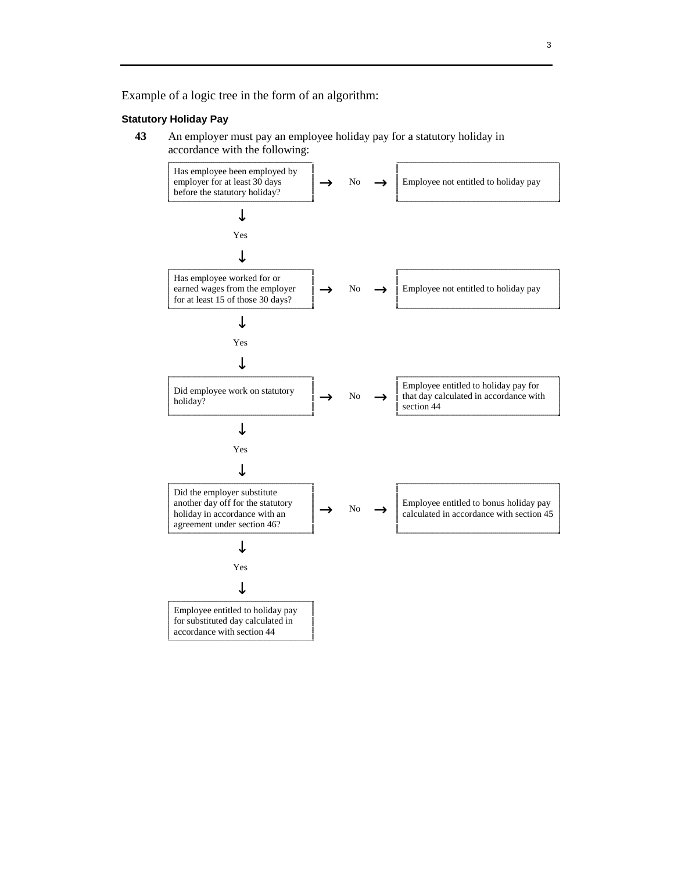Example of a logic tree in the form of an algorithm:

#### **Statutory Holiday Pay**

**43** An employer must pay an employee holiday pay for a statutory holiday in accordance with the following:

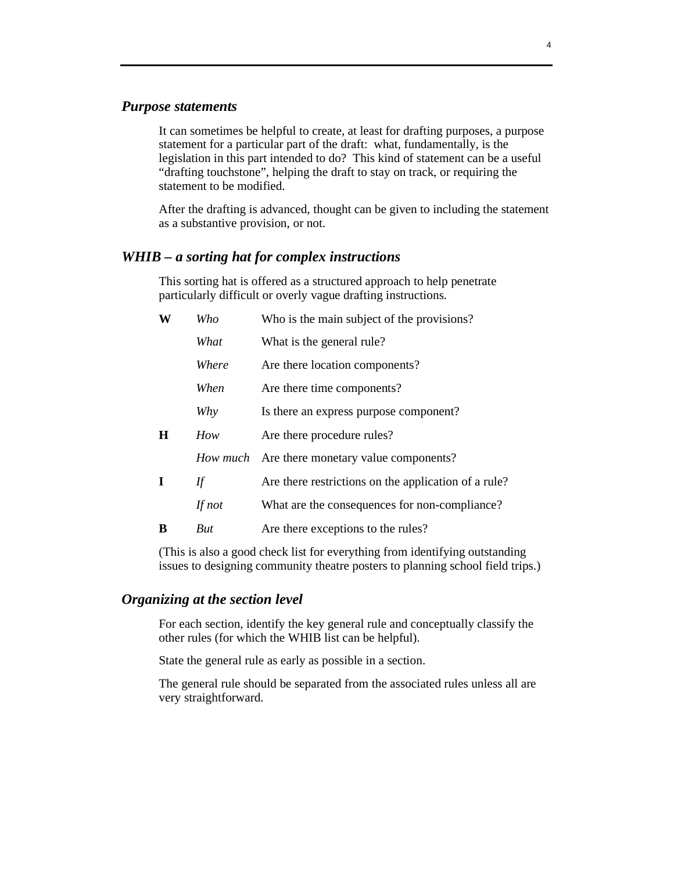# *Purpose statements*

 It can sometimes be helpful to create, at least for drafting purposes, a purpose statement for a particular part of the draft: what, fundamentally, is the legislation in this part intended to do? This kind of statement can be a useful "drafting touchstone", helping the draft to stay on track, or requiring the statement to be modified.

 After the drafting is advanced, thought can be given to including the statement as a substantive provision, or not.

# *WHIB – a sorting hat for complex instructions*

 This sorting hat is offered as a structured approach to help penetrate particularly difficult or overly vague drafting instructions.

| W       | Who        | Who is the main subject of the provisions?           |
|---------|------------|------------------------------------------------------|
|         | What       | What is the general rule?                            |
|         | Where      | Are there location components?                       |
|         | When       | Are there time components?                           |
|         | Why        | Is there an express purpose component?               |
| $\bf H$ | How        | Are there procedure rules?                           |
|         | How much   | Are there monetary value components?                 |
| I       | If         | Are there restrictions on the application of a rule? |
|         | If not     | What are the consequences for non-compliance?        |
| В       | <b>But</b> | Are there exceptions to the rules?                   |

 (This is also a good check list for everything from identifying outstanding issues to designing community theatre posters to planning school field trips.)

# *Organizing at the section level*

 For each section, identify the key general rule and conceptually classify the other rules (for which the WHIB list can be helpful).

State the general rule as early as possible in a section.

 The general rule should be separated from the associated rules unless all are very straightforward.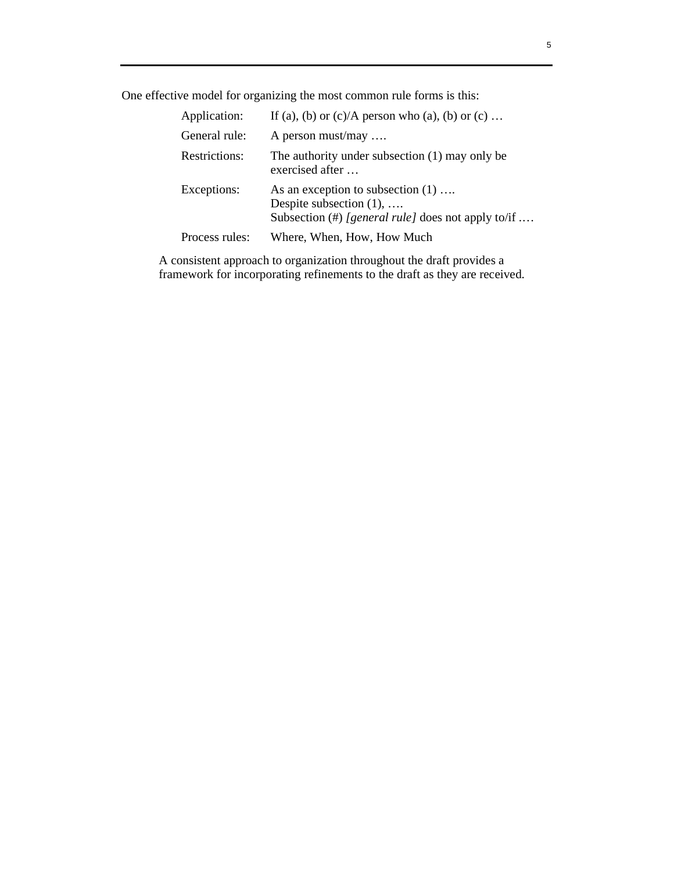One effective model for organizing the most common rule forms is this:

| Application:   | If (a), (b) or $(c)/A$ person who (a), (b) or $(c)$                                                                              |
|----------------|----------------------------------------------------------------------------------------------------------------------------------|
| General rule:  | A person must/may                                                                                                                |
| Restrictions:  | The authority under subsection $(1)$ may only be<br>exercised after                                                              |
| Exceptions:    | As an exception to subsection $(1)$<br>Despite subsection $(1), \ldots$<br>Subsection $(\#)$ [general rule] does not apply to/if |
| Process rules: | Where, When, How, How Much                                                                                                       |

 A consistent approach to organization throughout the draft provides a framework for incorporating refinements to the draft as they are received.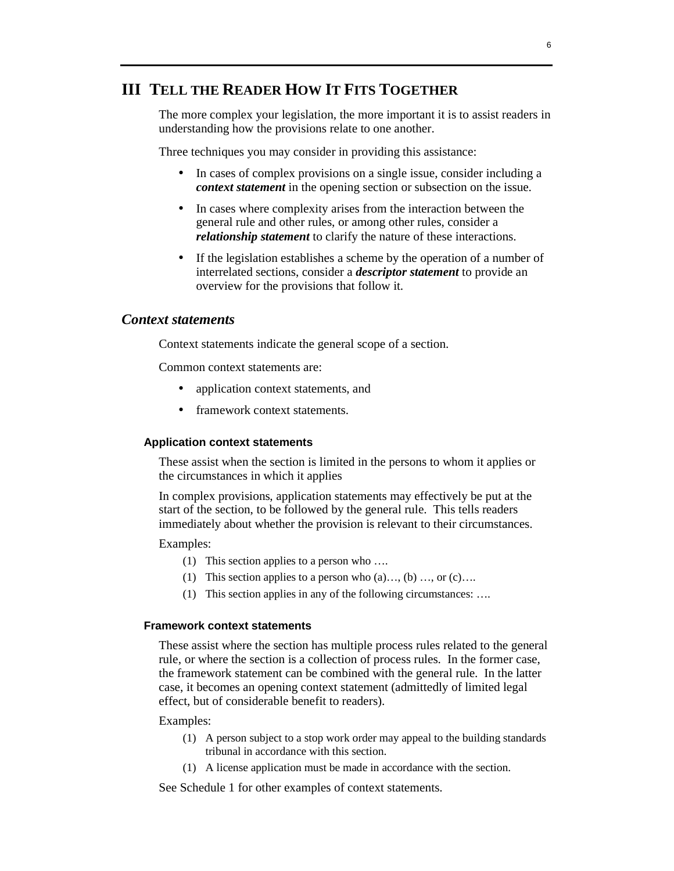# **III TELL THE READER HOW IT FITS TOGETHER**

 The more complex your legislation, the more important it is to assist readers in understanding how the provisions relate to one another.

Three techniques you may consider in providing this assistance:

- In cases of complex provisions on a single issue, consider including a *context statement* in the opening section or subsection on the issue.
- In cases where complexity arises from the interaction between the general rule and other rules, or among other rules, consider a *relationship statement* to clarify the nature of these interactions.
- If the legislation establishes a scheme by the operation of a number of interrelated sections, consider a *descriptor statement* to provide an overview for the provisions that follow it.

# *Context statements*

Context statements indicate the general scope of a section.

Common context statements are:

- application context statements, and
- framework context statements.

### **Application context statements**

These assist when the section is limited in the persons to whom it applies or the circumstances in which it applies

In complex provisions, application statements may effectively be put at the start of the section, to be followed by the general rule. This tells readers immediately about whether the provision is relevant to their circumstances.

## Examples:

- (1) This section applies to a person who ….
- (1) This section applies to a person who  $(a) \dots (b) \dots$  or  $(c) \dots$
- (1) This section applies in any of the following circumstances: ….

# **Framework context statements**

These assist where the section has multiple process rules related to the general rule, or where the section is a collection of process rules. In the former case, the framework statement can be combined with the general rule. In the latter case, it becomes an opening context statement (admittedly of limited legal effect, but of considerable benefit to readers).

### Examples:

- (1) A person subject to a stop work order may appeal to the building standards tribunal in accordance with this section.
- (1) A license application must be made in accordance with the section.

See Schedule 1 for other examples of context statements.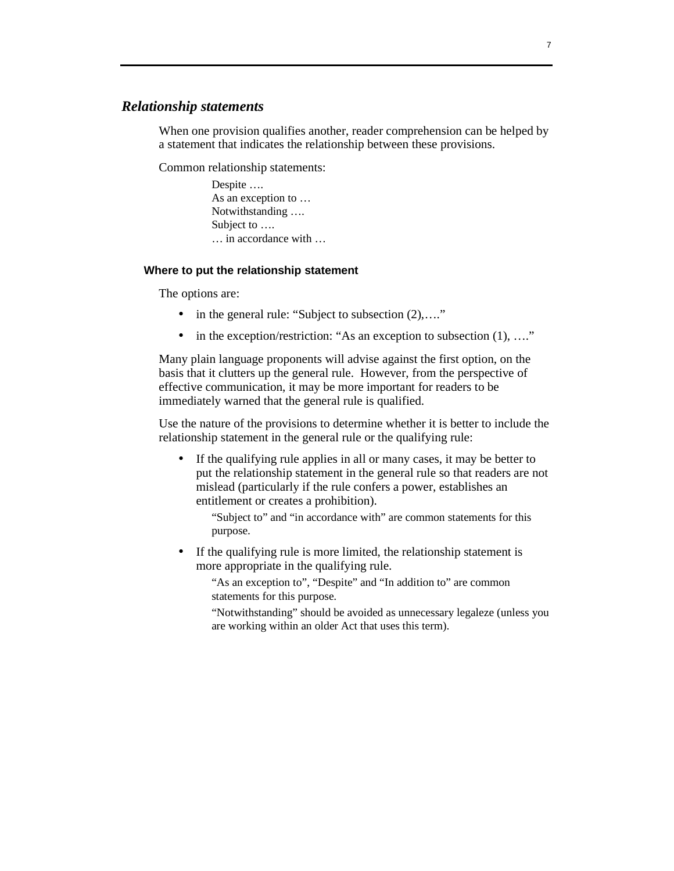# *Relationship statements*

 When one provision qualifies another, reader comprehension can be helped by a statement that indicates the relationship between these provisions.

Common relationship statements:

 Despite …. As an exception to … Notwithstanding …. Subject to …. … in accordance with …

### **Where to put the relationship statement**

The options are:

- in the general rule: "Subject to subsection  $(2), \ldots$ ."
- in the exception/restriction: "As an exception to subsection  $(1), \ldots$ ."

 Many plain language proponents will advise against the first option, on the basis that it clutters up the general rule. However, from the perspective of effective communication, it may be more important for readers to be immediately warned that the general rule is qualified.

 Use the nature of the provisions to determine whether it is better to include the relationship statement in the general rule or the qualifying rule:

• If the qualifying rule applies in all or many cases, it may be better to put the relationship statement in the general rule so that readers are not mislead (particularly if the rule confers a power, establishes an entitlement or creates a prohibition).

 "Subject to" and "in accordance with" are common statements for this purpose.

• If the qualifying rule is more limited, the relationship statement is more appropriate in the qualifying rule.

 "As an exception to", "Despite" and "In addition to" are common statements for this purpose.

 "Notwithstanding" should be avoided as unnecessary legaleze (unless you are working within an older Act that uses this term).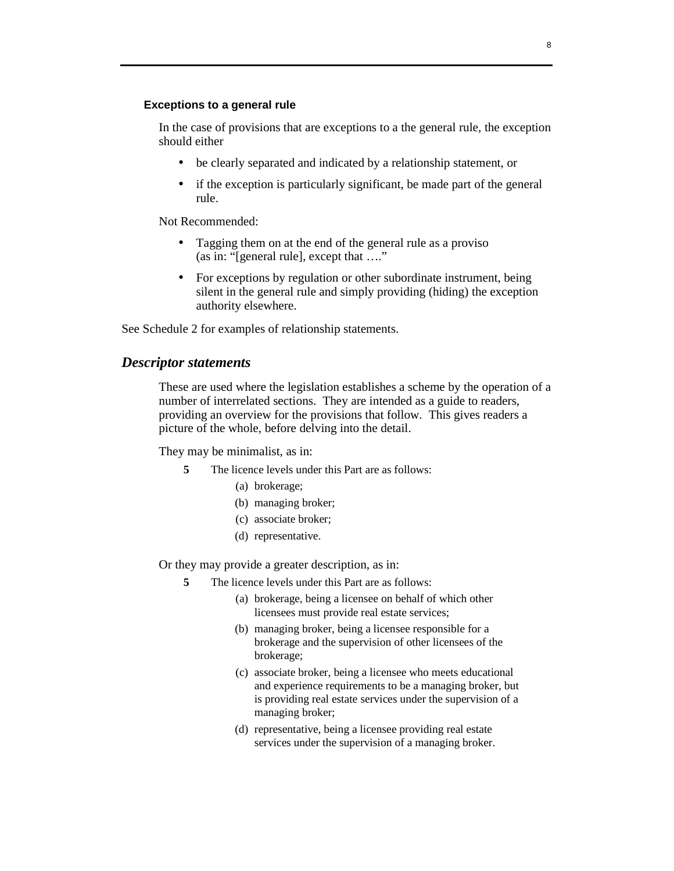### **Exceptions to a general rule**

 In the case of provisions that are exceptions to a the general rule, the exception should either

- be clearly separated and indicated by a relationship statement, or
- if the exception is particularly significant, be made part of the general rule.

Not Recommended:

- Tagging them on at the end of the general rule as a proviso (as in: "[general rule], except that …."
- For exceptions by regulation or other subordinate instrument, being silent in the general rule and simply providing (hiding) the exception authority elsewhere.

See Schedule 2 for examples of relationship statements.

# *Descriptor statements*

 These are used where the legislation establishes a scheme by the operation of a number of interrelated sections. They are intended as a guide to readers, providing an overview for the provisions that follow. This gives readers a picture of the whole, before delving into the detail.

They may be minimalist, as in:

- **5** The licence levels under this Part are as follows:
	- (a) brokerage;
	- (b) managing broker;
	- (c) associate broker;
	- (d) representative.

Or they may provide a greater description, as in:

- **5** The licence levels under this Part are as follows:
	- (a) brokerage, being a licensee on behalf of which other licensees must provide real estate services;
	- (b) managing broker, being a licensee responsible for a brokerage and the supervision of other licensees of the brokerage;
	- (c) associate broker, being a licensee who meets educational and experience requirements to be a managing broker, but is providing real estate services under the supervision of a managing broker;
	- (d) representative, being a licensee providing real estate services under the supervision of a managing broker.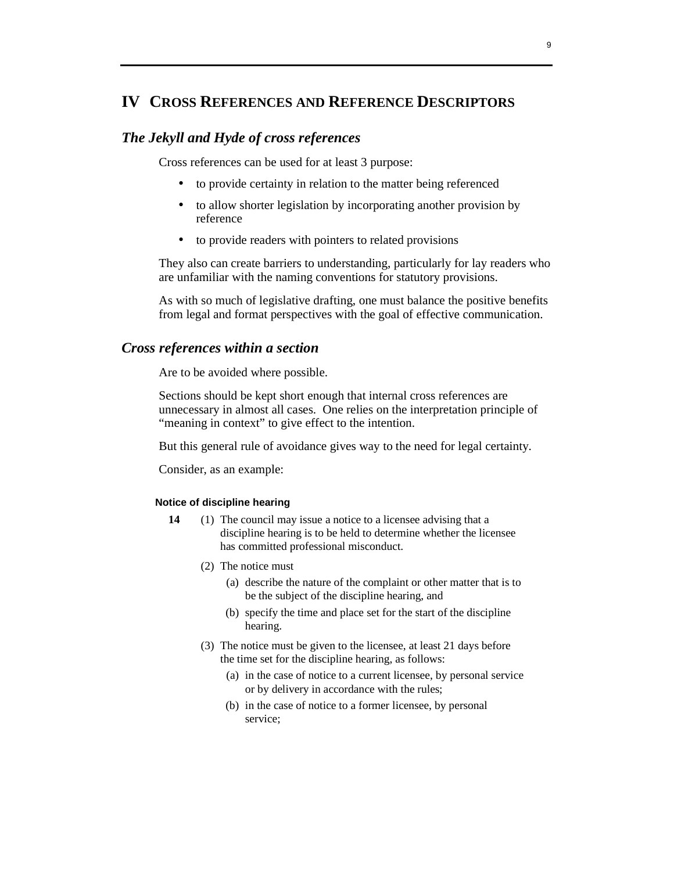# **IV CROSS REFERENCES AND REFERENCE DESCRIPTORS**

# *The Jekyll and Hyde of cross references*

Cross references can be used for at least 3 purpose:

- to provide certainty in relation to the matter being referenced
- to allow shorter legislation by incorporating another provision by reference
- to provide readers with pointers to related provisions

 They also can create barriers to understanding, particularly for lay readers who are unfamiliar with the naming conventions for statutory provisions.

 As with so much of legislative drafting, one must balance the positive benefits from legal and format perspectives with the goal of effective communication.

# *Cross references within a section*

Are to be avoided where possible.

 Sections should be kept short enough that internal cross references are unnecessary in almost all cases. One relies on the interpretation principle of "meaning in context" to give effect to the intention.

But this general rule of avoidance gives way to the need for legal certainty.

Consider, as an example:

## **Notice of discipline hearing**

- **14** (1) The council may issue a notice to a licensee advising that a discipline hearing is to be held to determine whether the licensee has committed professional misconduct.
	- (2) The notice must
		- (a) describe the nature of the complaint or other matter that is to be the subject of the discipline hearing, and
		- (b) specify the time and place set for the start of the discipline hearing.
	- (3) The notice must be given to the licensee, at least 21 days before the time set for the discipline hearing, as follows:
		- (a) in the case of notice to a current licensee, by personal service or by delivery in accordance with the rules;
		- (b) in the case of notice to a former licensee, by personal service;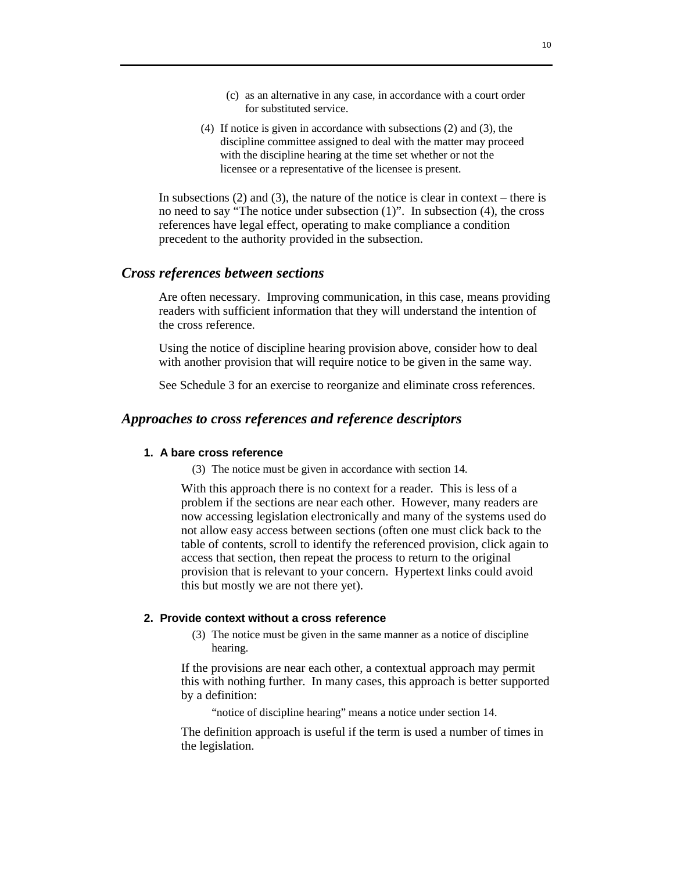- (c) as an alternative in any case, in accordance with a court order for substituted service.
- (4) If notice is given in accordance with subsections (2) and (3), the discipline committee assigned to deal with the matter may proceed with the discipline hearing at the time set whether or not the licensee or a representative of the licensee is present.

In subsections  $(2)$  and  $(3)$ , the nature of the notice is clear in context – there is no need to say "The notice under subsection (1)". In subsection (4), the cross references have legal effect, operating to make compliance a condition precedent to the authority provided in the subsection.

# *Cross references between sections*

 Are often necessary. Improving communication, in this case, means providing readers with sufficient information that they will understand the intention of the cross reference.

 Using the notice of discipline hearing provision above, consider how to deal with another provision that will require notice to be given in the same way.

See Schedule 3 for an exercise to reorganize and eliminate cross references.

# *Approaches to cross references and reference descriptors*

# **1. A bare cross reference**

(3) The notice must be given in accordance with section 14.

 With this approach there is no context for a reader. This is less of a problem if the sections are near each other. However, many readers are now accessing legislation electronically and many of the systems used do not allow easy access between sections (often one must click back to the table of contents, scroll to identify the referenced provision, click again to access that section, then repeat the process to return to the original provision that is relevant to your concern. Hypertext links could avoid this but mostly we are not there yet).

### **2. Provide context without a cross reference**

 (3) The notice must be given in the same manner as a notice of discipline hearing.

 If the provisions are near each other, a contextual approach may permit this with nothing further. In many cases, this approach is better supported by a definition:

"notice of discipline hearing" means a notice under section 14.

 The definition approach is useful if the term is used a number of times in the legislation.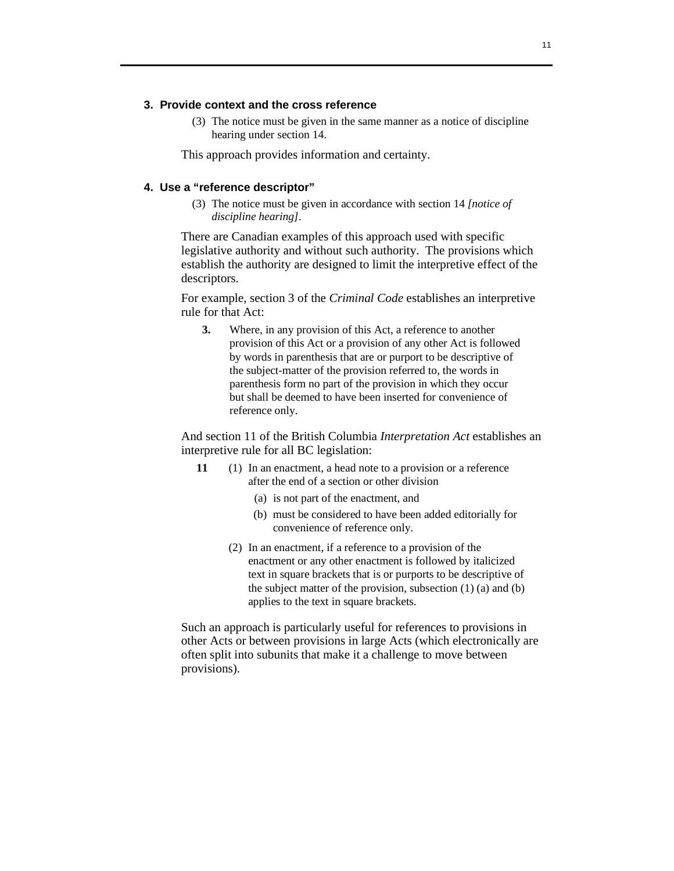# **3. Provide context and the cross reference**

 (3) The notice must be given in the same manner as a notice of discipline hearing under section 14.

This approach provides information and certainty.

### **4. Use a "reference descriptor"**

 (3) The notice must be given in accordance with section 14 *[notice of discipline hearing]*.

There are Canadian examples of this approach used with specific legislative authority and without such authority. The provisions which establish the authority are designed to limit the interpretive effect of the descriptors.

 For example, section 3 of the *Criminal Code* establishes an interpretive rule for that Act:

**3.** Where, in any provision of this Act, a reference to another provision of this Act or a provision of any other Act is followed by words in parenthesis that are or purport to be descriptive of the subject-matter of the provision referred to, the words in parenthesis form no part of the provision in which they occur but shall be deemed to have been inserted for convenience of reference only.

 And section 11 of the British Columbia *Interpretation Act* establishes an interpretive rule for all BC legislation:

- **11** (1) In an enactment, a head note to a provision or a reference after the end of a section or other division
	- (a) is not part of the enactment, and
	- (b) must be considered to have been added editorially for convenience of reference only.
	- (2) In an enactment, if a reference to a provision of the enactment or any other enactment is followed by italicized text in square brackets that is or purports to be descriptive of the subject matter of the provision, subsection (1) (a) and (b) applies to the text in square brackets.

 Such an approach is particularly useful for references to provisions in other Acts or between provisions in large Acts (which electronically are often split into subunits that make it a challenge to move between provisions).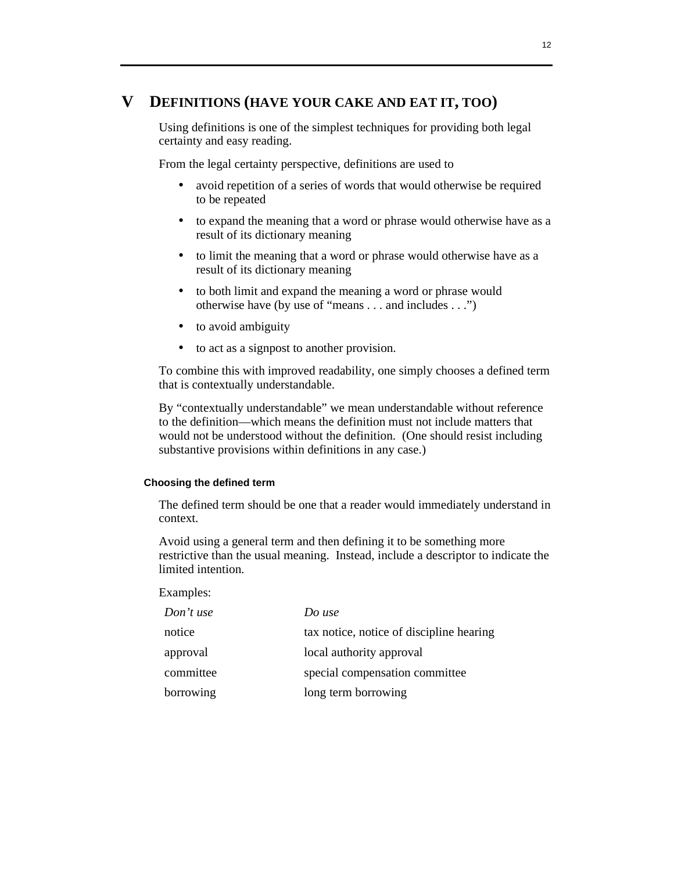# **V DEFINITIONS (HAVE YOUR CAKE AND EAT IT, TOO)**

 Using definitions is one of the simplest techniques for providing both legal certainty and easy reading.

From the legal certainty perspective, definitions are used to

- avoid repetition of a series of words that would otherwise be required to be repeated
- to expand the meaning that a word or phrase would otherwise have as a result of its dictionary meaning
- to limit the meaning that a word or phrase would otherwise have as a result of its dictionary meaning
- to both limit and expand the meaning a word or phrase would otherwise have (by use of "means . . . and includes . . .")
- to avoid ambiguity
- to act as a signpost to another provision.

 To combine this with improved readability, one simply chooses a defined term that is contextually understandable.

 By "contextually understandable" we mean understandable without reference to the definition—which means the definition must not include matters that would not be understood without the definition. (One should resist including substantive provisions within definitions in any case.)

#### **Choosing the defined term**

 The defined term should be one that a reader would immediately understand in context.

 Avoid using a general term and then defining it to be something more restrictive than the usual meaning. Instead, include a descriptor to indicate the limited intention.

#### Examples:

| Don't use | Do use                                   |
|-----------|------------------------------------------|
| notice    | tax notice, notice of discipline hearing |
| approval  | local authority approval                 |
| committee | special compensation committee           |
| borrowing | long term borrowing                      |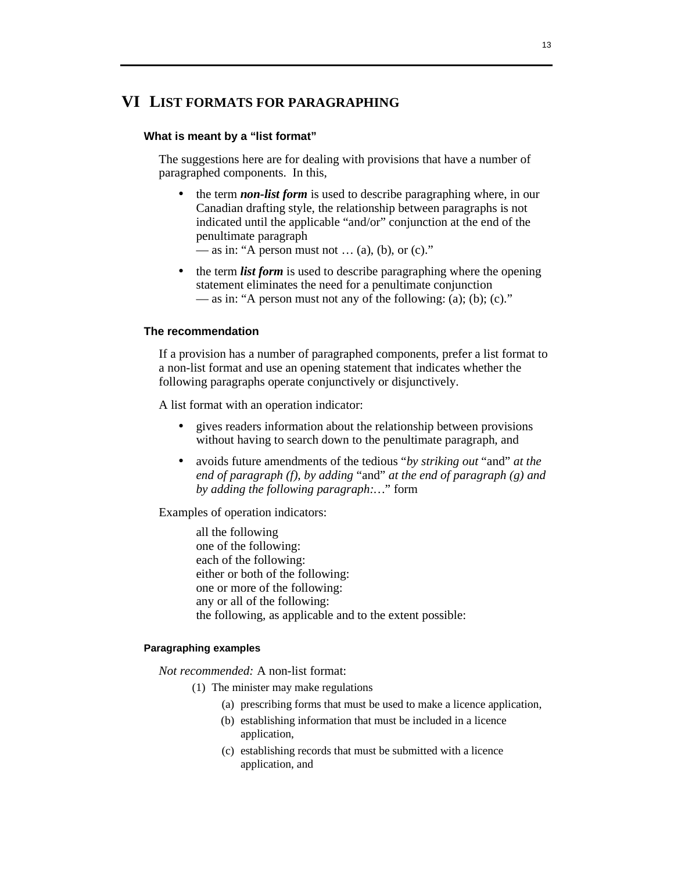# **VI LIST FORMATS FOR PARAGRAPHING**

# **What is meant by a "list format"**

 The suggestions here are for dealing with provisions that have a number of paragraphed components. In this,

• the term *non-list form* is used to describe paragraphing where, in our Canadian drafting style, the relationship between paragraphs is not indicated until the applicable "and/or" conjunction at the end of the penultimate paragraph

— as in: "A person must not  $\dots$  (a), (b), or (c)."

• the term *list form* is used to describe paragraphing where the opening statement eliminates the need for a penultimate conjunction — as in: "A person must not any of the following: (a); (b); (c)."

#### **The recommendation**

 If a provision has a number of paragraphed components, prefer a list format to a non-list format and use an opening statement that indicates whether the following paragraphs operate conjunctively or disjunctively.

A list format with an operation indicator:

- gives readers information about the relationship between provisions without having to search down to the penultimate paragraph, and
- avoids future amendments of the tedious "*by striking out* "and" *at the end of paragraph (f), by adding* "and" *at the end of paragraph (g) and by adding the following paragraph:…*" form

Examples of operation indicators:

 all the following one of the following: each of the following: either or both of the following: one or more of the following: any or all of the following: the following, as applicable and to the extent possible:

### **Paragraphing examples**

*Not recommended:* A non-list format:

- (1) The minister may make regulations
	- (a) prescribing forms that must be used to make a licence application,
	- (b) establishing information that must be included in a licence application,
	- (c) establishing records that must be submitted with a licence application, and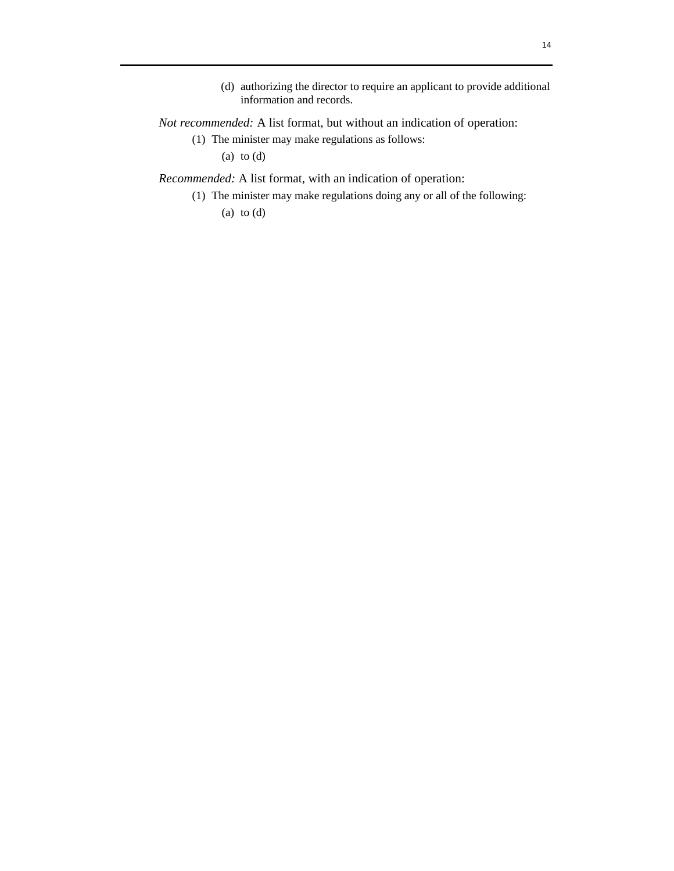(d) authorizing the director to require an applicant to provide additional information and records.

# *Not recommended:* A list format, but without an indication of operation:

 (1) The minister may make regulations as follows: (a) to (d)

*Recommended:* A list format, with an indication of operation:

 (1) The minister may make regulations doing any or all of the following: (a) to  $(d)$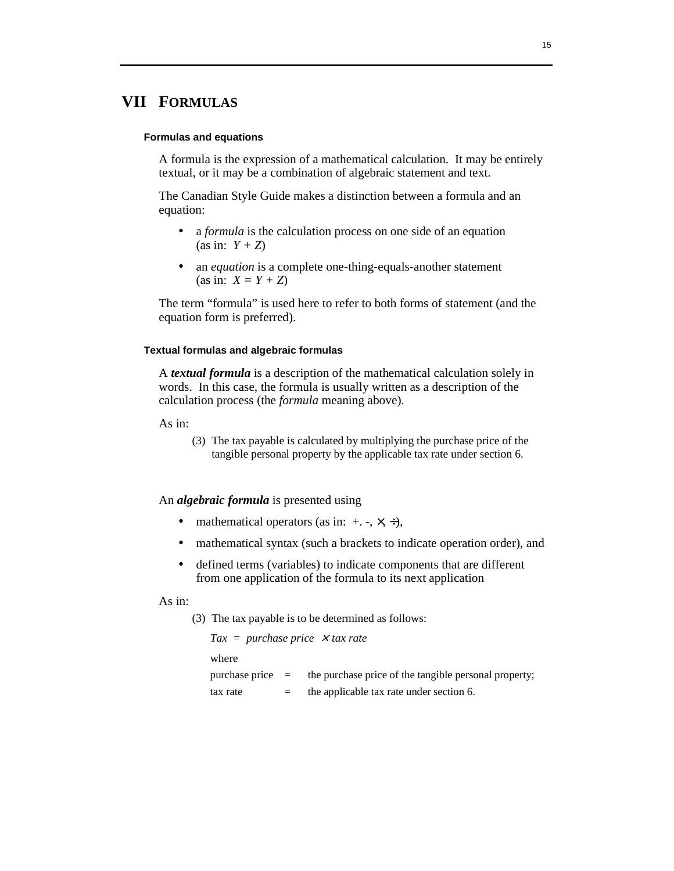# **VII FORMULAS**

#### **Formulas and equations**

 A formula is the expression of a mathematical calculation. It may be entirely textual, or it may be a combination of algebraic statement and text.

 The Canadian Style Guide makes a distinction between a formula and an equation:

- a *formula* is the calculation process on one side of an equation (as in:  $Y + Z$ )
- an *equation* is a complete one-thing-equals-another statement (as in:  $X = Y + Z$ )

 The term "formula" is used here to refer to both forms of statement (and the equation form is preferred).

### **Textual formulas and algebraic formulas**

 A *textual formula* is a description of the mathematical calculation solely in words. In this case, the formula is usually written as a description of the calculation process (the *formula* meaning above).

As in:

 (3) The tax payable is calculated by multiplying the purchase price of the tangible personal property by the applicable tax rate under section 6.

### An *algebraic formula* is presented using

- mathematical operators (as in:  $+$ ,  $-$ ,  $\times$ ,  $\div$ ),
- mathematical syntax (such a brackets to indicate operation order), and
- defined terms (variables) to indicate components that are different from one application of the formula to its next application

# As in:

(3) The tax payable is to be determined as follows:

| $\textit{Tax} = \textit{purchase price} \times \textit{tax rate}$ |     |                                                                          |
|-------------------------------------------------------------------|-----|--------------------------------------------------------------------------|
| where                                                             |     |                                                                          |
|                                                                   |     | purchase price $=$ the purchase price of the tangible personal property; |
| tax rate                                                          | $=$ | the applicable tax rate under section 6.                                 |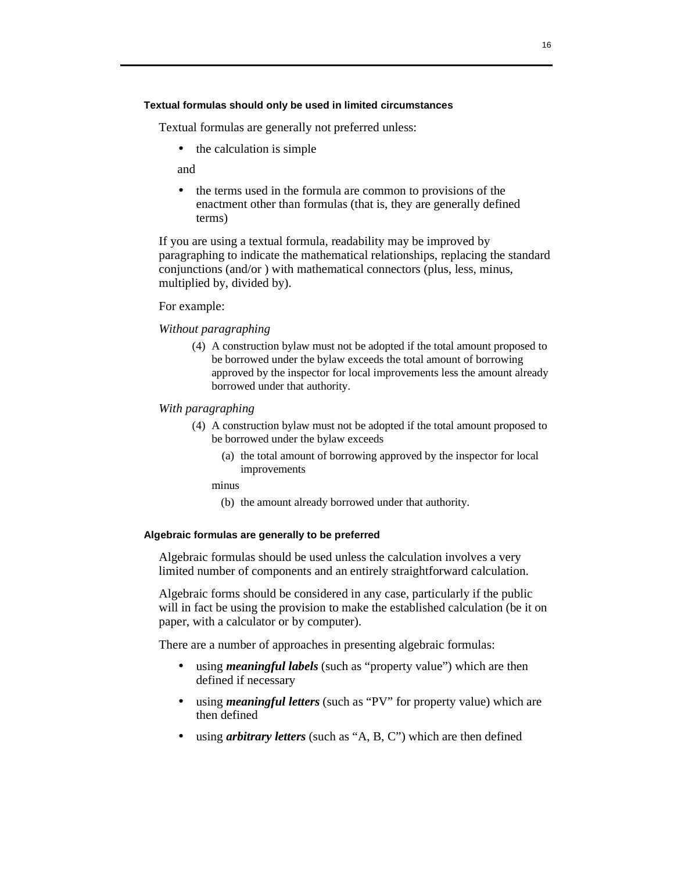#### **Textual formulas should only be used in limited circumstances**

Textual formulas are generally not preferred unless:

• the calculation is simple

and

• the terms used in the formula are common to provisions of the enactment other than formulas (that is, they are generally defined terms)

 If you are using a textual formula, readability may be improved by paragraphing to indicate the mathematical relationships, replacing the standard conjunctions (and/or ) with mathematical connectors (plus, less, minus, multiplied by, divided by).

#### For example:

#### *Without paragraphing*

 (4) A construction bylaw must not be adopted if the total amount proposed to be borrowed under the bylaw exceeds the total amount of borrowing approved by the inspector for local improvements less the amount already borrowed under that authority.

#### *With paragraphing*

- (4) A construction bylaw must not be adopted if the total amount proposed to be borrowed under the bylaw exceeds
	- (a) the total amount of borrowing approved by the inspector for local improvements

minus

(b) the amount already borrowed under that authority.

#### **Algebraic formulas are generally to be preferred**

 Algebraic formulas should be used unless the calculation involves a very limited number of components and an entirely straightforward calculation.

 Algebraic forms should be considered in any case, particularly if the public will in fact be using the provision to make the established calculation (be it on paper, with a calculator or by computer).

There are a number of approaches in presenting algebraic formulas:

- using *meaningful labels* (such as "property value") which are then defined if necessary
- using *meaningful letters* (such as "PV" for property value) which are then defined
- using *arbitrary letters* (such as "A, B, C") which are then defined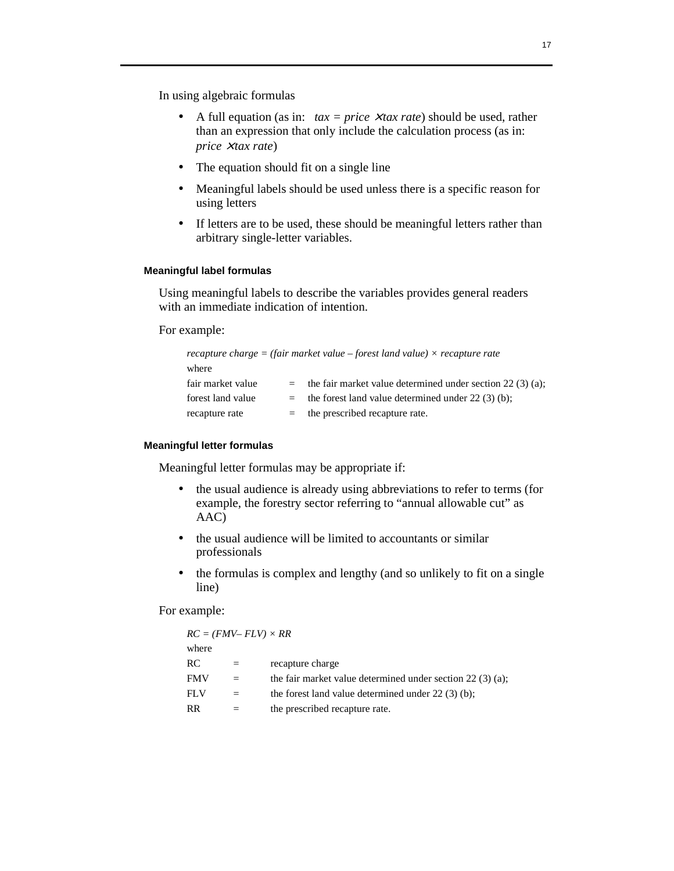In using algebraic formulas

- A full equation (as in:  $tax = price \times tax \ rate$ ) should be used, rather than an expression that only include the calculation process (as in: *price* × *tax rate*)
- The equation should fit on a single line
- Meaningful labels should be used unless there is a specific reason for using letters
- If letters are to be used, these should be meaningful letters rather than arbitrary single-letter variables.

### **Meaningful label formulas**

 Using meaningful labels to describe the variables provides general readers with an immediate indication of intention.

For example:

| recapture charge = (fair market value – forest land value) $\times$ recapture rate |         |                                                             |
|------------------------------------------------------------------------------------|---------|-------------------------------------------------------------|
| where                                                                              |         |                                                             |
| fair market value                                                                  |         | the fair market value determined under section $22(3)(a)$ ; |
| forest land value                                                                  | $=$ $-$ | the forest land value determined under $22(3)(b)$ ;         |
| recapture rate                                                                     | $=$     | the prescribed recapture rate.                              |

#### **Meaningful letter formulas**

Meaningful letter formulas may be appropriate if:

- the usual audience is already using abbreviations to refer to terms (for example, the forestry sector referring to "annual allowable cut" as AAC)
- the usual audience will be limited to accountants or similar professionals
- the formulas is complex and lengthy (and so unlikely to fit on a single line)

For example:

| $RC = (FMV - FLV) \times RR$ |     |                                                             |
|------------------------------|-----|-------------------------------------------------------------|
| where                        |     |                                                             |
| RC                           | $=$ | recapture charge                                            |
| <b>FMV</b>                   | $=$ | the fair market value determined under section $22(3)(a)$ ; |
| FLV                          |     | the forest land value determined under $22(3)(b)$ ;         |
| RR                           |     | the prescribed recapture rate.                              |
|                              |     |                                                             |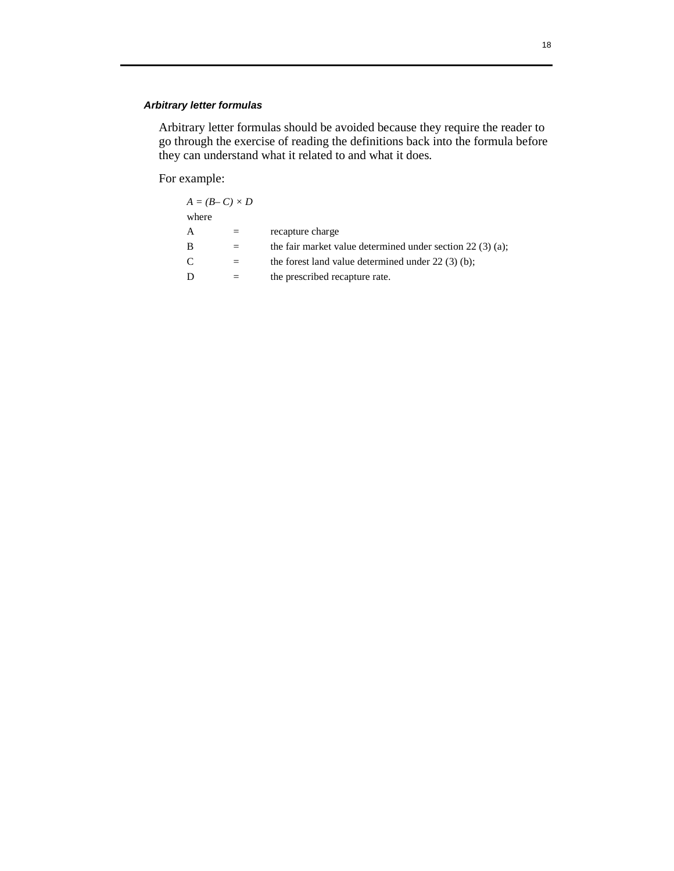# *Arbitrary letter formulas*

Arbitrary letter formulas should be avoided because they require the reader to go through the exercise of reading the definitions back into the formula before they can understand what it related to and what it does.

For example:

| $A = (B - C) \times D$ |                                                             |
|------------------------|-------------------------------------------------------------|
| where                  |                                                             |
| A                      | recapture charge                                            |
| B                      | the fair market value determined under section $22(3)(a)$ ; |
| C                      | the forest land value determined under $22(3)(b)$ ;         |
| D                      | the prescribed recapture rate.                              |
|                        |                                                             |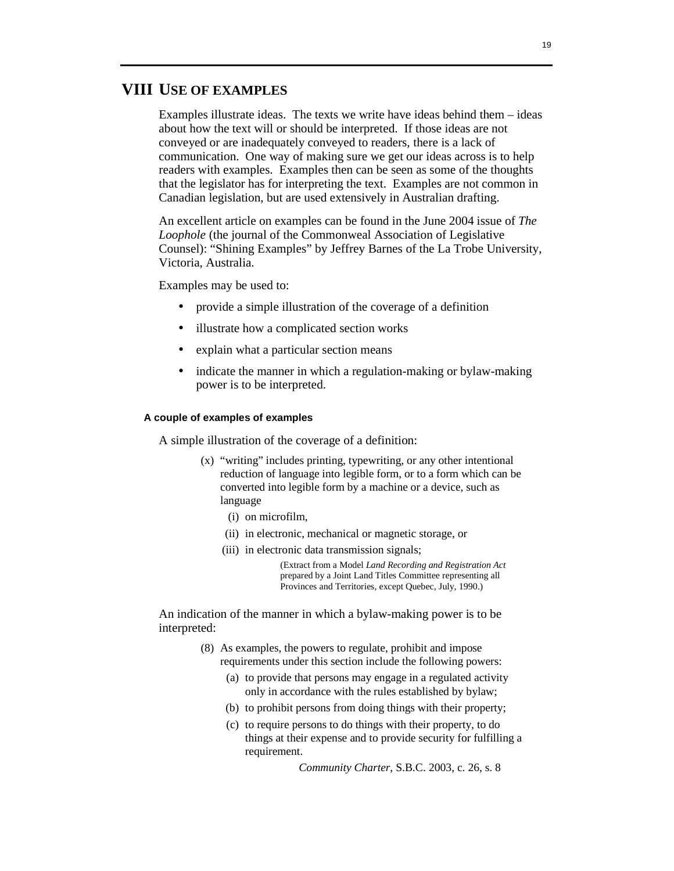# **VIII USE OF EXAMPLES**

 Examples illustrate ideas. The texts we write have ideas behind them – ideas about how the text will or should be interpreted. If those ideas are not conveyed or are inadequately conveyed to readers, there is a lack of communication. One way of making sure we get our ideas across is to help readers with examples. Examples then can be seen as some of the thoughts that the legislator has for interpreting the text. Examples are not common in Canadian legislation, but are used extensively in Australian drafting.

 An excellent article on examples can be found in the June 2004 issue of *The Loophole* (the journal of the Commonweal Association of Legislative Counsel): "Shining Examples" by Jeffrey Barnes of the La Trobe University, Victoria, Australia.

Examples may be used to:

- provide a simple illustration of the coverage of a definition
- illustrate how a complicated section works
- explain what a particular section means
- indicate the manner in which a regulation-making or bylaw-making power is to be interpreted.

#### **A couple of examples of examples**

A simple illustration of the coverage of a definition:

- (x) "writing" includes printing, typewriting, or any other intentional reduction of language into legible form, or to a form which can be converted into legible form by a machine or a device, such as language
	- (i) on microfilm,
	- (ii) in electronic, mechanical or magnetic storage, or
	- (iii) in electronic data transmission signals;

(Extract from a Model *Land Recording and Registration Act* prepared by a Joint Land Titles Committee representing all Provinces and Territories, except Quebec, July, 1990.)

 An indication of the manner in which a bylaw-making power is to be interpreted:

- (8) As examples, the powers to regulate, prohibit and impose requirements under this section include the following powers:
	- (a) to provide that persons may engage in a regulated activity only in accordance with the rules established by bylaw;
	- (b) to prohibit persons from doing things with their property;
	- (c) to require persons to do things with their property, to do things at their expense and to provide security for fulfilling a requirement.

*Community Charter*, S.B.C. 2003, c. 26, s. 8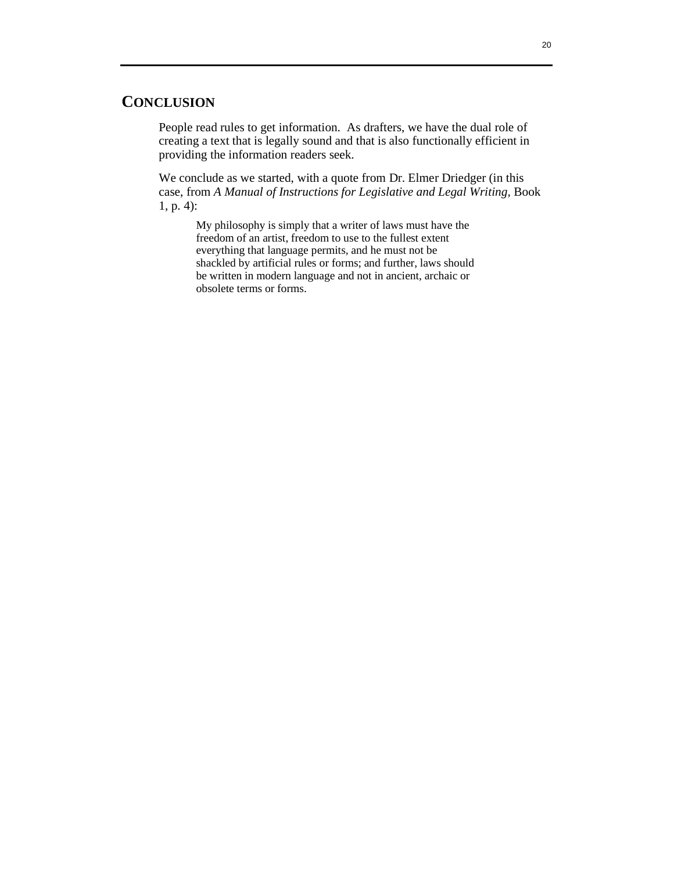# **CONCLUSION**

 People read rules to get information. As drafters, we have the dual role of creating a text that is legally sound and that is also functionally efficient in providing the information readers seek.

 We conclude as we started, with a quote from Dr. Elmer Driedger (in this case, from *A Manual of Instructions for Legislative and Legal Writing,* Book 1, p. 4):

My philosophy is simply that a writer of laws must have the freedom of an artist, freedom to use to the fullest extent everything that language permits, and he must not be shackled by artificial rules or forms; and further, laws should be written in modern language and not in ancient, archaic or obsolete terms or forms.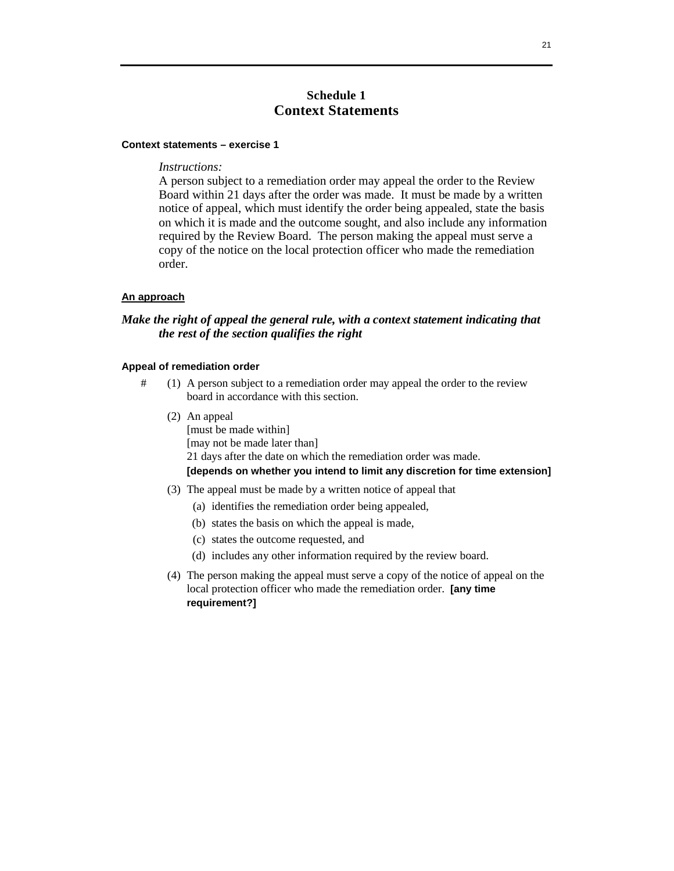# **Schedule 1 Context Statements**

#### **Context statements – exercise 1**

### *Instructions:*

A person subject to a remediation order may appeal the order to the Review Board within 21 days after the order was made. It must be made by a written notice of appeal, which must identify the order being appealed, state the basis on which it is made and the outcome sought, and also include any information required by the Review Board. The person making the appeal must serve a copy of the notice on the local protection officer who made the remediation order.

#### **An approach**

# *Make the right of appeal the general rule, with a context statement indicating that the rest of the section qualifies the right*

#### **Appeal of remediation order**

- # (1) A person subject to a remediation order may appeal the order to the review board in accordance with this section.
	- (2) An appeal [must be made within] [may not be made later than] 21 days after the date on which the remediation order was made. **[depends on whether you intend to limit any discretion for time extension]**
	- (3) The appeal must be made by a written notice of appeal that
		- (a) identifies the remediation order being appealed,
		- (b) states the basis on which the appeal is made,
		- (c) states the outcome requested, and
		- (d) includes any other information required by the review board.
	- (4) The person making the appeal must serve a copy of the notice of appeal on the local protection officer who made the remediation order. **[any time requirement?]**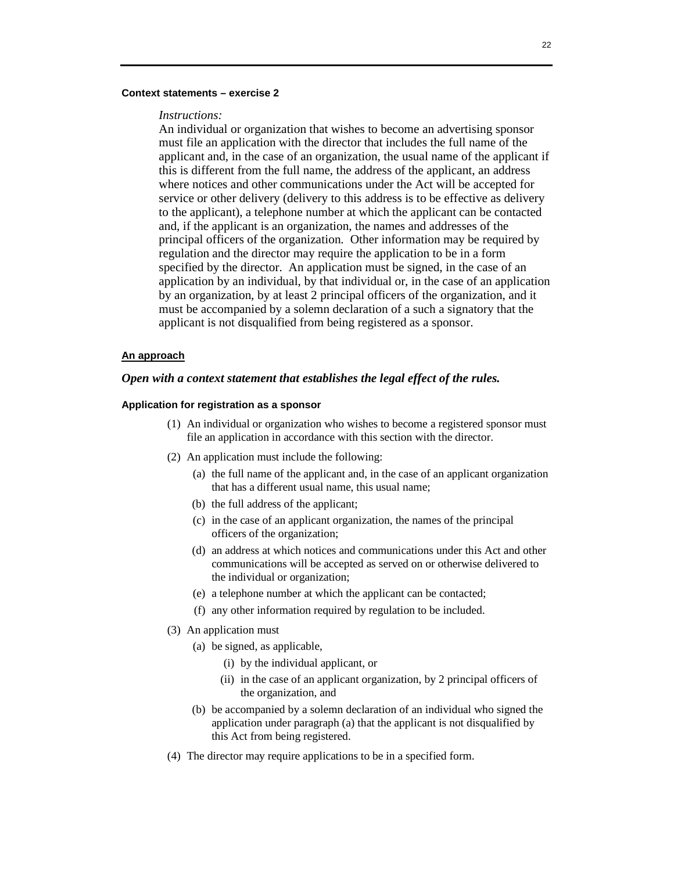#### **Context statements – exercise 2**

#### *Instructions:*

An individual or organization that wishes to become an advertising sponsor must file an application with the director that includes the full name of the applicant and, in the case of an organization, the usual name of the applicant if this is different from the full name, the address of the applicant, an address where notices and other communications under the Act will be accepted for service or other delivery (delivery to this address is to be effective as delivery to the applicant), a telephone number at which the applicant can be contacted and, if the applicant is an organization, the names and addresses of the principal officers of the organization. Other information may be required by regulation and the director may require the application to be in a form specified by the director. An application must be signed, in the case of an application by an individual, by that individual or, in the case of an application by an organization, by at least 2 principal officers of the organization, and it must be accompanied by a solemn declaration of a such a signatory that the applicant is not disqualified from being registered as a sponsor.

#### **An approach**

### *Open with a context statement that establishes the legal effect of the rules.*

### **Application for registration as a sponsor**

- (1) An individual or organization who wishes to become a registered sponsor must file an application in accordance with this section with the director.
- (2) An application must include the following:
	- (a) the full name of the applicant and, in the case of an applicant organization that has a different usual name, this usual name;
	- (b) the full address of the applicant;
	- (c) in the case of an applicant organization, the names of the principal officers of the organization;
	- (d) an address at which notices and communications under this Act and other communications will be accepted as served on or otherwise delivered to the individual or organization;
	- (e) a telephone number at which the applicant can be contacted;
	- (f) any other information required by regulation to be included.
- (3) An application must
	- (a) be signed, as applicable,
		- (i) by the individual applicant, or
		- (ii) in the case of an applicant organization, by 2 principal officers of the organization, and
	- (b) be accompanied by a solemn declaration of an individual who signed the application under paragraph (a) that the applicant is not disqualified by this Act from being registered.
- (4) The director may require applications to be in a specified form.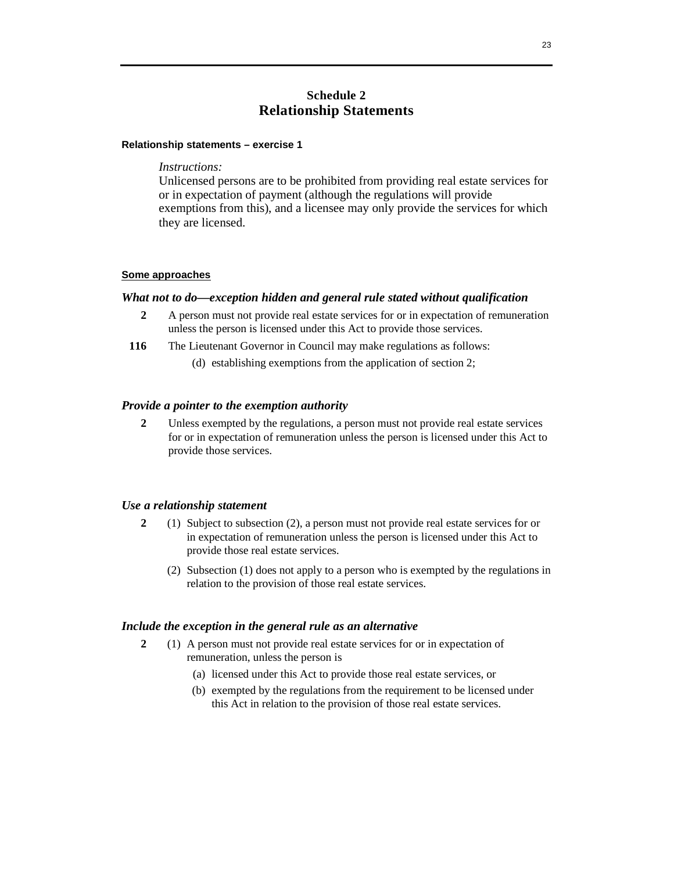# **Schedule 2 Relationship Statements**

#### **Relationship statements – exercise 1**

#### *Instructions:*

Unlicensed persons are to be prohibited from providing real estate services for or in expectation of payment (although the regulations will provide exemptions from this), and a licensee may only provide the services for which they are licensed.

#### **Some approaches**

#### *What not to do—exception hidden and general rule stated without qualification*

- **2** A person must not provide real estate services for or in expectation of remuneration unless the person is licensed under this Act to provide those services.
- **116** The Lieutenant Governor in Council may make regulations as follows:
	- (d) establishing exemptions from the application of section 2;

### *Provide a pointer to the exemption authority*

**2** Unless exempted by the regulations, a person must not provide real estate services for or in expectation of remuneration unless the person is licensed under this Act to provide those services.

### *Use a relationship statement*

- **2** (1) Subject to subsection (2), a person must not provide real estate services for or in expectation of remuneration unless the person is licensed under this Act to provide those real estate services.
	- (2) Subsection (1) does not apply to a person who is exempted by the regulations in relation to the provision of those real estate services.

#### *Include the exception in the general rule as an alternative*

- **2** (1) A person must not provide real estate services for or in expectation of remuneration, unless the person is
	- (a) licensed under this Act to provide those real estate services, or
	- (b) exempted by the regulations from the requirement to be licensed under this Act in relation to the provision of those real estate services.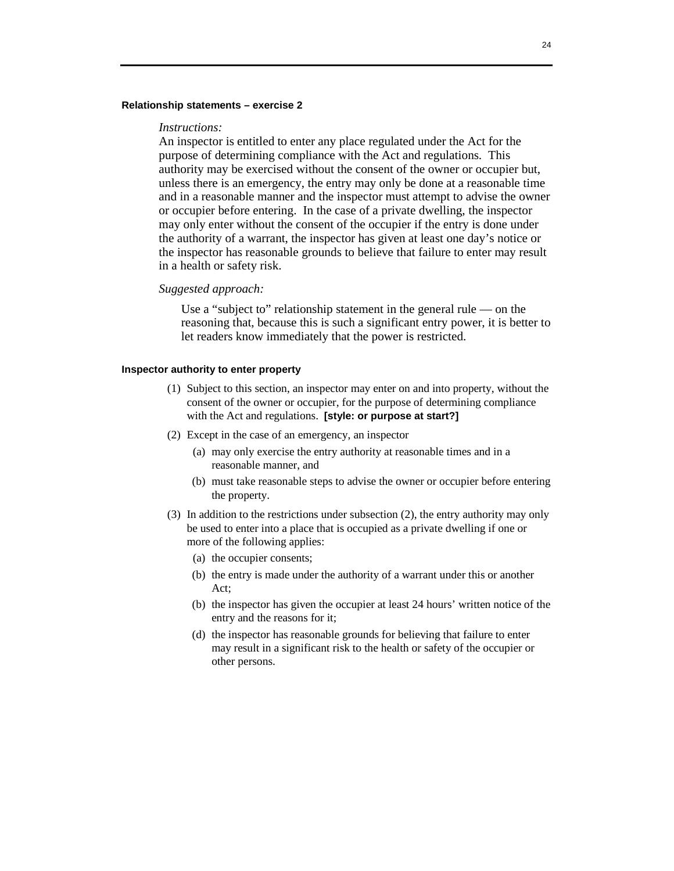#### **Relationship statements – exercise 2**

#### *Instructions:*

An inspector is entitled to enter any place regulated under the Act for the purpose of determining compliance with the Act and regulations. This authority may be exercised without the consent of the owner or occupier but, unless there is an emergency, the entry may only be done at a reasonable time and in a reasonable manner and the inspector must attempt to advise the owner or occupier before entering. In the case of a private dwelling, the inspector may only enter without the consent of the occupier if the entry is done under the authority of a warrant, the inspector has given at least one day's notice or the inspector has reasonable grounds to believe that failure to enter may result in a health or safety risk.

#### *Suggested approach:*

 Use a "subject to" relationship statement in the general rule — on the reasoning that, because this is such a significant entry power, it is better to let readers know immediately that the power is restricted.

#### **Inspector authority to enter property**

- (1) Subject to this section, an inspector may enter on and into property, without the consent of the owner or occupier, for the purpose of determining compliance with the Act and regulations. **[style: or purpose at start?]**
- (2) Except in the case of an emergency, an inspector
	- (a) may only exercise the entry authority at reasonable times and in a reasonable manner, and
	- (b) must take reasonable steps to advise the owner or occupier before entering the property.
- (3) In addition to the restrictions under subsection (2), the entry authority may only be used to enter into a place that is occupied as a private dwelling if one or more of the following applies:
	- (a) the occupier consents;
	- (b) the entry is made under the authority of a warrant under this or another Act;
	- (b) the inspector has given the occupier at least 24 hours' written notice of the entry and the reasons for it;
	- (d) the inspector has reasonable grounds for believing that failure to enter may result in a significant risk to the health or safety of the occupier or other persons.